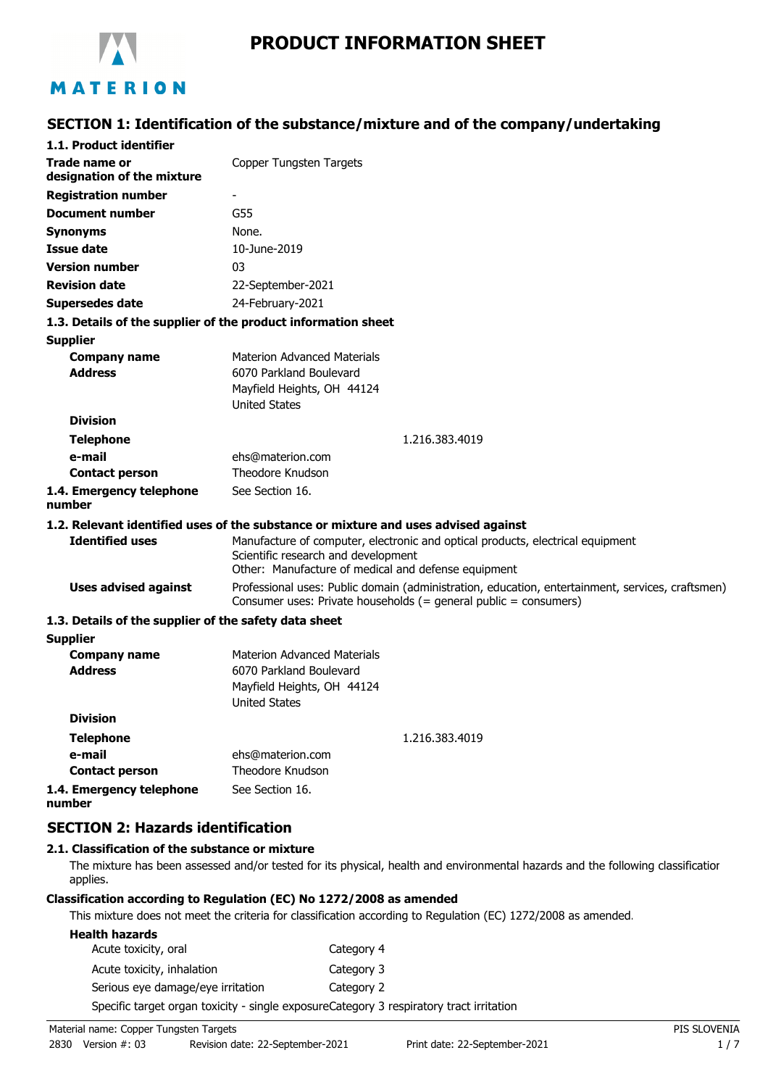

# **PRODUCT INFORMATION SHEET**

# MATERION

### **SECTION 1: Identification of the substance/mixture and of the company/undertaking**

| 1.1. Product identifier                               |                                                                                                                                                                      |  |  |
|-------------------------------------------------------|----------------------------------------------------------------------------------------------------------------------------------------------------------------------|--|--|
| Trade name or<br>designation of the mixture           | Copper Tungsten Targets                                                                                                                                              |  |  |
| <b>Registration number</b>                            | $\overline{\phantom{a}}$                                                                                                                                             |  |  |
| <b>Document number</b>                                | G55                                                                                                                                                                  |  |  |
|                                                       | None.                                                                                                                                                                |  |  |
| Synonyms<br><b>Issue date</b>                         | 10-June-2019                                                                                                                                                         |  |  |
| <b>Version number</b>                                 | 03                                                                                                                                                                   |  |  |
| <b>Revision date</b>                                  |                                                                                                                                                                      |  |  |
|                                                       | 22-September-2021                                                                                                                                                    |  |  |
| <b>Supersedes date</b>                                | 24-February-2021                                                                                                                                                     |  |  |
|                                                       | 1.3. Details of the supplier of the product information sheet                                                                                                        |  |  |
| <b>Supplier</b>                                       |                                                                                                                                                                      |  |  |
| <b>Company name</b><br><b>Address</b>                 | <b>Materion Advanced Materials</b><br>6070 Parkland Boulevard                                                                                                        |  |  |
|                                                       | Mayfield Heights, OH 44124                                                                                                                                           |  |  |
|                                                       | <b>United States</b>                                                                                                                                                 |  |  |
| <b>Division</b>                                       |                                                                                                                                                                      |  |  |
| <b>Telephone</b>                                      | 1.216.383.4019                                                                                                                                                       |  |  |
| e-mail                                                | ehs@materion.com                                                                                                                                                     |  |  |
| <b>Contact person</b>                                 | <b>Theodore Knudson</b>                                                                                                                                              |  |  |
| 1.4. Emergency telephone<br>number                    | See Section 16.                                                                                                                                                      |  |  |
|                                                       | 1.2. Relevant identified uses of the substance or mixture and uses advised against                                                                                   |  |  |
| <b>Identified uses</b>                                | Manufacture of computer, electronic and optical products, electrical equipment<br>Scientific research and development                                                |  |  |
|                                                       | Other: Manufacture of medical and defense equipment                                                                                                                  |  |  |
| <b>Uses advised against</b>                           | Professional uses: Public domain (administration, education, entertainment, services, craftsmen)<br>Consumer uses: Private households (= general public = consumers) |  |  |
| 1.3. Details of the supplier of the safety data sheet |                                                                                                                                                                      |  |  |
| <b>Supplier</b>                                       |                                                                                                                                                                      |  |  |
| <b>Company name</b>                                   | <b>Materion Advanced Materials</b>                                                                                                                                   |  |  |
| <b>Address</b>                                        | 6070 Parkland Boulevard                                                                                                                                              |  |  |
|                                                       | Mayfield Heights, OH 44124<br><b>United States</b>                                                                                                                   |  |  |
| <b>Division</b>                                       |                                                                                                                                                                      |  |  |
| <b>Telephone</b>                                      | 1.216.383.4019                                                                                                                                                       |  |  |
| e-mail                                                | ehs@materion.com                                                                                                                                                     |  |  |
| <b>Contact person</b>                                 | Theodore Knudson                                                                                                                                                     |  |  |

**1.4. Emergency telephone number** See Section 16.

### **SECTION 2: Hazards identification**

### **2.1. Classification of the substance or mixture**

The mixture has been assessed and/or tested for its physical, health and environmental hazards and the following classification applies.

#### **Classification according to Regulation (EC) No 1272/2008 as amended**

This mixture does not meet the criteria for classification according to Regulation (EC) 1272/2008 as amended.

| <b>Health hazards</b>             |                                                                                         |
|-----------------------------------|-----------------------------------------------------------------------------------------|
| Acute toxicity, oral              | Category 4                                                                              |
| Acute toxicity, inhalation        | Category 3                                                                              |
| Serious eye damage/eye irritation | Category 2                                                                              |
|                                   | Specific target organ toxicity - single exposureCategory 3 respiratory tract irritation |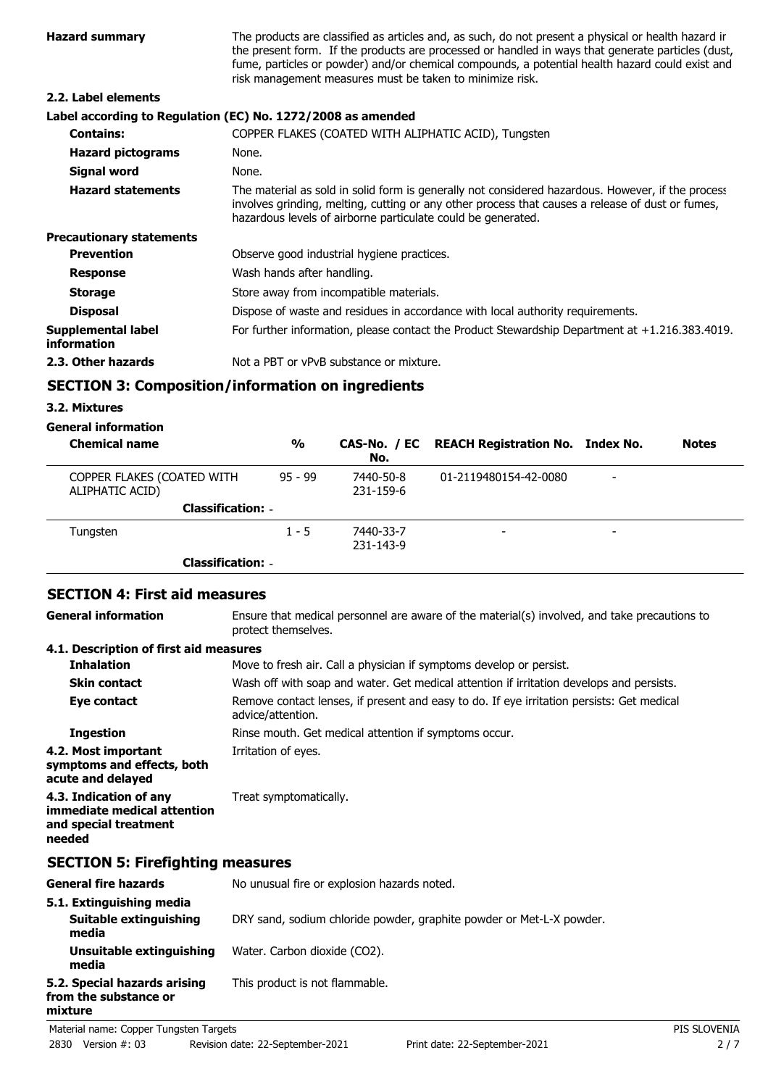| <b>Hazard summary</b>             | The products are classified as articles and, as such, do not present a physical or health hazard ir<br>the present form. If the products are processed or handled in ways that generate particles (dust,<br>fume, particles or powder) and/or chemical compounds, a potential health hazard could exist and<br>risk management measures must be taken to minimize risk. |
|-----------------------------------|-------------------------------------------------------------------------------------------------------------------------------------------------------------------------------------------------------------------------------------------------------------------------------------------------------------------------------------------------------------------------|
| 2.2. Label elements               |                                                                                                                                                                                                                                                                                                                                                                         |
|                                   | Label according to Regulation (EC) No. 1272/2008 as amended                                                                                                                                                                                                                                                                                                             |
| <b>Contains:</b>                  | COPPER FLAKES (COATED WITH ALIPHATIC ACID), Tungsten                                                                                                                                                                                                                                                                                                                    |
| <b>Hazard pictograms</b>          | None.                                                                                                                                                                                                                                                                                                                                                                   |
| Signal word                       | None.                                                                                                                                                                                                                                                                                                                                                                   |
| <b>Hazard statements</b>          | The material as sold in solid form is generally not considered hazardous. However, if the process<br>involves grinding, melting, cutting or any other process that causes a release of dust or fumes,<br>hazardous levels of airborne particulate could be generated.                                                                                                   |
| <b>Precautionary statements</b>   |                                                                                                                                                                                                                                                                                                                                                                         |
| <b>Prevention</b>                 | Observe good industrial hygiene practices.                                                                                                                                                                                                                                                                                                                              |
| <b>Response</b>                   | Wash hands after handling.                                                                                                                                                                                                                                                                                                                                              |
| <b>Storage</b>                    | Store away from incompatible materials.                                                                                                                                                                                                                                                                                                                                 |
| <b>Disposal</b>                   | Dispose of waste and residues in accordance with local authority requirements.                                                                                                                                                                                                                                                                                          |
| Supplemental label<br>information | For further information, please contact the Product Stewardship Department at $+1.216.383.4019$ .                                                                                                                                                                                                                                                                       |
| 2.3. Other hazards                | Not a PBT or vPvB substance or mixture.                                                                                                                                                                                                                                                                                                                                 |

# **SECTION 3: Composition/information on ingredients**

### **3.2. Mixtures**

**mixture**

# **General information**

| <b>Chemical name</b>                          | $\frac{0}{0}$            | No.                    | CAS-No. / EC REACH Registration No. Index No. | <b>Notes</b> |
|-----------------------------------------------|--------------------------|------------------------|-----------------------------------------------|--------------|
| COPPER FLAKES (COATED WITH<br>ALIPHATIC ACID) | $95 - 99$                | 7440-50-8<br>231-159-6 | 01-2119480154-42-0080                         |              |
|                                               | <b>Classification: -</b> |                        |                                               |              |
| Tungsten                                      | $1 - 5$                  | 7440-33-7<br>231-143-9 | -                                             |              |
|                                               | <b>Classification: -</b> |                        |                                               |              |

# **SECTION 4: First aid measures**

Ensure that medical personnel are aware of the material(s) involved, and take precautions to protect themselves. **General information**

### **4.1. Description of first aid measures**

| <b>Inhalation</b>                                                                        | Move to fresh air. Call a physician if symptoms develop or persist.                                            |
|------------------------------------------------------------------------------------------|----------------------------------------------------------------------------------------------------------------|
| <b>Skin contact</b>                                                                      | Wash off with soap and water. Get medical attention if irritation develops and persists.                       |
| Eye contact                                                                              | Remove contact lenses, if present and easy to do. If eye irritation persists: Get medical<br>advice/attention. |
| <b>Ingestion</b>                                                                         | Rinse mouth. Get medical attention if symptoms occur.                                                          |
| 4.2. Most important<br>symptoms and effects, both<br>acute and delayed                   | Irritation of eyes.                                                                                            |
| 4.3. Indication of any<br>immediate medical attention<br>and special treatment<br>needed | Treat symptomatically.                                                                                         |
| <b>SECTION 5: Firefighting measures</b>                                                  |                                                                                                                |
| <b>General fire hazards</b>                                                              | No unusual fire or explosion hazards noted.                                                                    |
| 5.1. Extinguishing media<br>Suitable extinguishing<br>media                              | DRY sand, sodium chloride powder, graphite powder or Met-L-X powder.                                           |
| Unsuitable extinguishing                                                                 | Water. Carbon dioxide (CO2).                                                                                   |

**media 5.2. Special hazards arising** This product is not flammable. **from the substance or**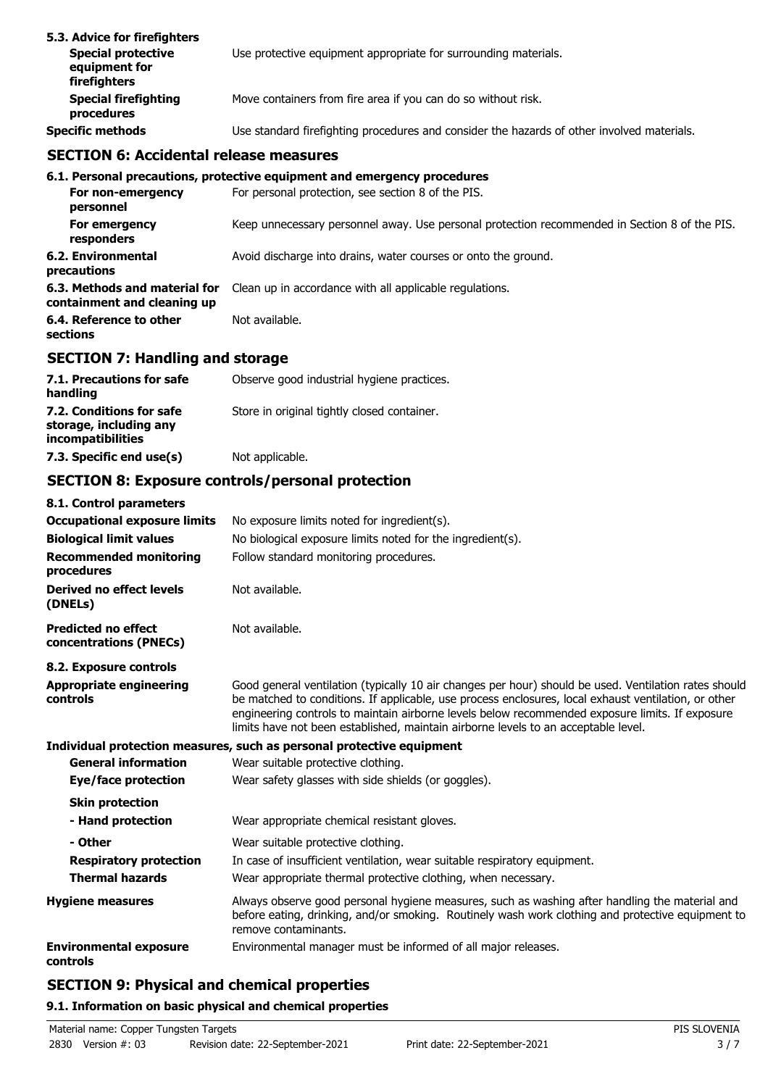| 5.3. Advice for firefighters<br><b>Special protective</b><br>equipment for<br>firefighters | Use protective equipment appropriate for surrounding materials.                            |
|--------------------------------------------------------------------------------------------|--------------------------------------------------------------------------------------------|
| <b>Special firefighting</b><br>procedures                                                  | Move containers from fire area if you can do so without risk.                              |
| <b>Specific methods</b>                                                                    | Use standard firefighting procedures and consider the hazards of other involved materials. |

# **SECTION 6: Accidental release measures**

|                                                              | 6.1. Personal precautions, protective equipment and emergency procedures                      |
|--------------------------------------------------------------|-----------------------------------------------------------------------------------------------|
| For non-emergency<br>personnel                               | For personal protection, see section 8 of the PIS.                                            |
| For emergency<br>responders                                  | Keep unnecessary personnel away. Use personal protection recommended in Section 8 of the PIS. |
| 6.2. Environmental<br>precautions                            | Avoid discharge into drains, water courses or onto the ground.                                |
| 6.3. Methods and material for<br>containment and cleaning up | Clean up in accordance with all applicable regulations.                                       |
| 6.4. Reference to other<br>sections                          | Not available.                                                                                |

# **SECTION 7: Handling and storage**

| 7.1. Precautions for safe<br>handling                                   | Observe good industrial hygiene practices.  |
|-------------------------------------------------------------------------|---------------------------------------------|
| 7.2. Conditions for safe<br>storage, including any<br>incompatibilities | Store in original tightly closed container. |
| 7.3. Specific end use(s)                                                | Not applicable.                             |

# **SECTION 8: Exposure controls/personal protection**

| 8.1. Control parameters                              |                                                                                                                                                                                                                                                                                                                                                                                                        |
|------------------------------------------------------|--------------------------------------------------------------------------------------------------------------------------------------------------------------------------------------------------------------------------------------------------------------------------------------------------------------------------------------------------------------------------------------------------------|
| <b>Occupational exposure limits</b>                  | No exposure limits noted for ingredient(s).                                                                                                                                                                                                                                                                                                                                                            |
| <b>Biological limit values</b>                       | No biological exposure limits noted for the ingredient(s).                                                                                                                                                                                                                                                                                                                                             |
| <b>Recommended monitoring</b><br>procedures          | Follow standard monitoring procedures.                                                                                                                                                                                                                                                                                                                                                                 |
| Derived no effect levels<br>(DNELs)                  | Not available.                                                                                                                                                                                                                                                                                                                                                                                         |
| <b>Predicted no effect</b><br>concentrations (PNECs) | Not available.                                                                                                                                                                                                                                                                                                                                                                                         |
| 8.2. Exposure controls                               |                                                                                                                                                                                                                                                                                                                                                                                                        |
| Appropriate engineering<br>controls                  | Good general ventilation (typically 10 air changes per hour) should be used. Ventilation rates should<br>be matched to conditions. If applicable, use process enclosures, local exhaust ventilation, or other<br>engineering controls to maintain airborne levels below recommended exposure limits. If exposure<br>limits have not been established, maintain airborne levels to an acceptable level. |
|                                                      | Individual protection measures, such as personal protective equipment                                                                                                                                                                                                                                                                                                                                  |
| <b>General information</b>                           | Wear suitable protective clothing.                                                                                                                                                                                                                                                                                                                                                                     |
| Eye/face protection                                  | Wear safety glasses with side shields (or goggles).                                                                                                                                                                                                                                                                                                                                                    |
| <b>Skin protection</b>                               |                                                                                                                                                                                                                                                                                                                                                                                                        |
| - Hand protection                                    | Wear appropriate chemical resistant gloves.                                                                                                                                                                                                                                                                                                                                                            |
| - Other                                              | Wear suitable protective clothing.                                                                                                                                                                                                                                                                                                                                                                     |
| <b>Respiratory protection</b>                        | In case of insufficient ventilation, wear suitable respiratory equipment.                                                                                                                                                                                                                                                                                                                              |
| <b>Thermal hazards</b>                               | Wear appropriate thermal protective clothing, when necessary.                                                                                                                                                                                                                                                                                                                                          |
| <b>Hygiene measures</b>                              | Always observe good personal hygiene measures, such as washing after handling the material and<br>before eating, drinking, and/or smoking. Routinely wash work clothing and protective equipment to<br>remove contaminants.                                                                                                                                                                            |
| <b>Environmental exposure</b><br>controls            | Environmental manager must be informed of all major releases.                                                                                                                                                                                                                                                                                                                                          |

# **SECTION 9: Physical and chemical properties**

### **9.1. Information on basic physical and chemical properties**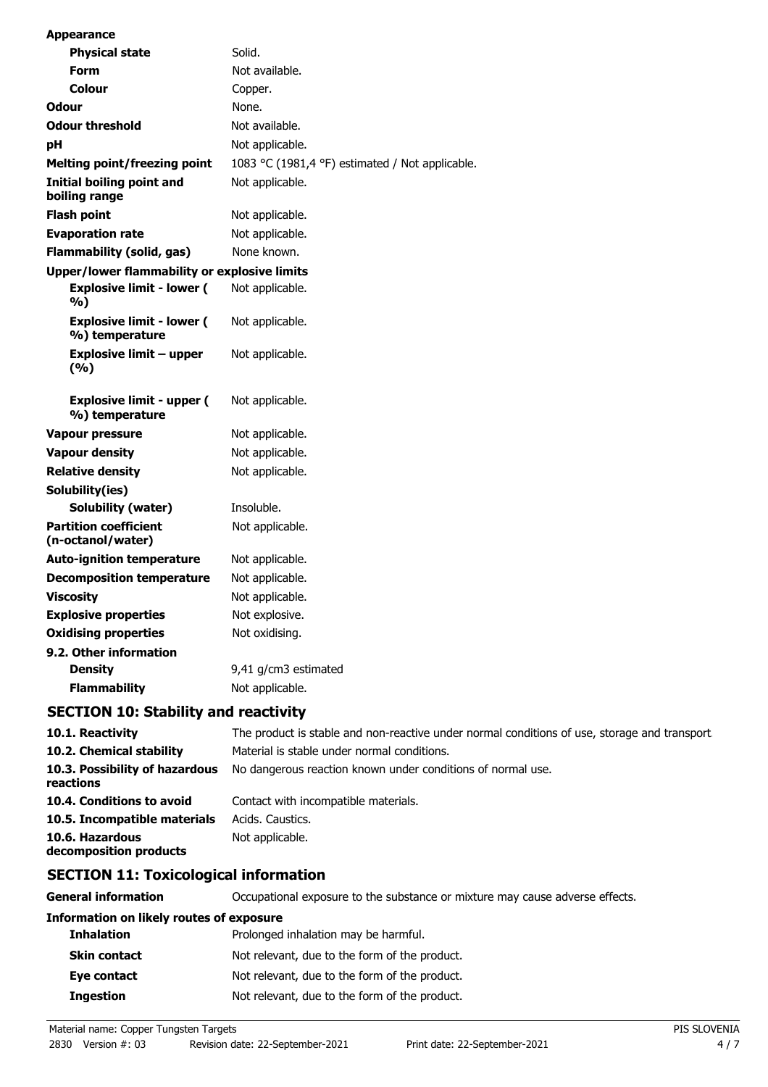| <b>Appearance</b>                                   |                                                 |
|-----------------------------------------------------|-------------------------------------------------|
| <b>Physical state</b>                               | Solid.                                          |
| Form                                                | Not available.                                  |
| Colour                                              | Copper.                                         |
| <b>Odour</b>                                        | None.                                           |
| <b>Odour threshold</b>                              | Not available.                                  |
| рH                                                  | Not applicable.                                 |
| <b>Melting point/freezing point</b>                 | 1083 °C (1981,4 °F) estimated / Not applicable. |
| Initial boiling point and<br>boiling range          | Not applicable.                                 |
| <b>Flash point</b>                                  | Not applicable.                                 |
| <b>Evaporation rate</b>                             | Not applicable.                                 |
| <b>Flammability (solid, gas)</b>                    | None known.                                     |
| <b>Upper/lower flammability or explosive limits</b> |                                                 |
| <b>Explosive limit - lower (</b><br>%)              | Not applicable.                                 |
| <b>Explosive limit - lower (</b><br>%) temperature  | Not applicable.                                 |
| <b>Explosive limit - upper</b><br>(%)               | Not applicable.                                 |
| <b>Explosive limit - upper (</b><br>%) temperature  | Not applicable.                                 |
| <b>Vapour pressure</b>                              | Not applicable.                                 |
| <b>Vapour density</b>                               | Not applicable.                                 |
| <b>Relative density</b>                             | Not applicable.                                 |
| Solubility(ies)                                     |                                                 |
| Solubility (water)                                  | Insoluble.                                      |
| <b>Partition coefficient</b><br>(n-octanol/water)   | Not applicable.                                 |
| <b>Auto-ignition temperature</b>                    | Not applicable.                                 |
| <b>Decomposition temperature</b>                    | Not applicable.                                 |
| <b>Viscosity</b>                                    | Not applicable.                                 |
| <b>Explosive properties</b>                         | Not explosive.                                  |
| <b>Oxidising properties</b>                         | Not oxidising.                                  |
| 9.2. Other information                              |                                                 |
| <b>Density</b>                                      | 9,41 g/cm3 estimated                            |
| <b>Flammability</b>                                 | Not applicable.                                 |

### **SECTION 10: Stability and reactivity**

| 10.1. Reactivity                            | The product is stable and non-reactive under normal conditions of use, storage and transport |
|---------------------------------------------|----------------------------------------------------------------------------------------------|
| 10.2. Chemical stability                    | Material is stable under normal conditions.                                                  |
| 10.3. Possibility of hazardous<br>reactions | No dangerous reaction known under conditions of normal use.                                  |
| 10.4. Conditions to avoid                   | Contact with incompatible materials.                                                         |
| 10.5. Incompatible materials                | Acids, Caustics,                                                                             |
| 10.6. Hazardous<br>decomposition products   | Not applicable.                                                                              |

# **SECTION 11: Toxicological information**

| Occupational exposure to the substance or mixture may cause adverse effects. |
|------------------------------------------------------------------------------|
| <b>Information on likely routes of exposure</b>                              |
| Prolonged inhalation may be harmful.                                         |
| Not relevant, due to the form of the product.                                |
| Not relevant, due to the form of the product.                                |
| Not relevant, due to the form of the product.                                |
|                                                                              |

Material name: Copper Tungsten Targets **PIS SLOVENIA**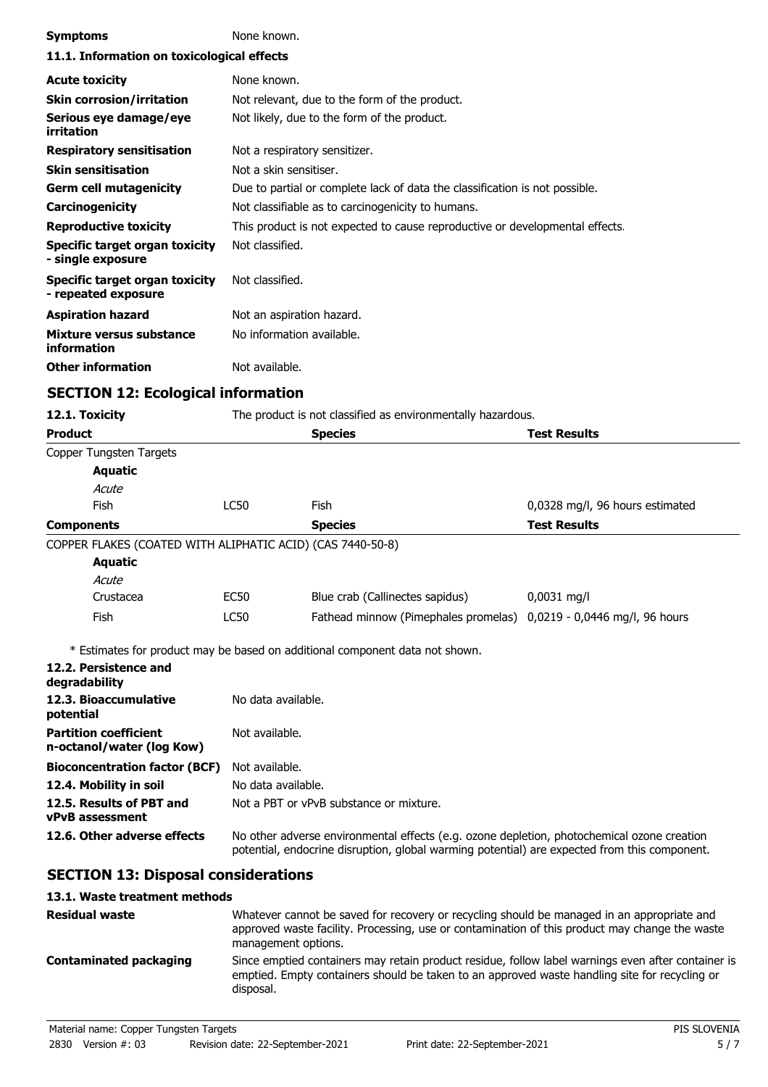| <b>Symptoms</b>                                              | None known.                                                                                                                                                                                |                                                                                                |                                 |  |
|--------------------------------------------------------------|--------------------------------------------------------------------------------------------------------------------------------------------------------------------------------------------|------------------------------------------------------------------------------------------------|---------------------------------|--|
| 11.1. Information on toxicological effects                   |                                                                                                                                                                                            |                                                                                                |                                 |  |
| <b>Acute toxicity</b>                                        | None known.                                                                                                                                                                                |                                                                                                |                                 |  |
| <b>Skin corrosion/irritation</b>                             | Not relevant, due to the form of the product.                                                                                                                                              |                                                                                                |                                 |  |
| Serious eye damage/eye<br>irritation                         | Not likely, due to the form of the product.                                                                                                                                                |                                                                                                |                                 |  |
| <b>Respiratory sensitisation</b>                             | Not a respiratory sensitizer.                                                                                                                                                              |                                                                                                |                                 |  |
| <b>Skin sensitisation</b>                                    |                                                                                                                                                                                            | Not a skin sensitiser.                                                                         |                                 |  |
| <b>Germ cell mutagenicity</b>                                | Due to partial or complete lack of data the classification is not possible.                                                                                                                |                                                                                                |                                 |  |
| Carcinogenicity                                              | Not classifiable as to carcinogenicity to humans.                                                                                                                                          |                                                                                                |                                 |  |
| <b>Reproductive toxicity</b>                                 | This product is not expected to cause reproductive or developmental effects.                                                                                                               |                                                                                                |                                 |  |
| Specific target organ toxicity<br>- single exposure          | Not classified.                                                                                                                                                                            |                                                                                                |                                 |  |
| <b>Specific target organ toxicity</b><br>- repeated exposure | Not classified.                                                                                                                                                                            |                                                                                                |                                 |  |
| <b>Aspiration hazard</b>                                     |                                                                                                                                                                                            | Not an aspiration hazard.                                                                      |                                 |  |
| Mixture versus substance<br>information                      | No information available.                                                                                                                                                                  |                                                                                                |                                 |  |
| <b>Other information</b>                                     | Not available.                                                                                                                                                                             |                                                                                                |                                 |  |
| <b>SECTION 12: Ecological information</b>                    |                                                                                                                                                                                            |                                                                                                |                                 |  |
| 12.1. Toxicity                                               |                                                                                                                                                                                            | The product is not classified as environmentally hazardous.                                    |                                 |  |
| <b>Product</b>                                               |                                                                                                                                                                                            | <b>Species</b>                                                                                 | <b>Test Results</b>             |  |
| Copper Tungsten Targets                                      |                                                                                                                                                                                            |                                                                                                |                                 |  |
| <b>Aquatic</b>                                               |                                                                                                                                                                                            |                                                                                                |                                 |  |
| Acute                                                        |                                                                                                                                                                                            |                                                                                                |                                 |  |
| Fish                                                         | <b>LC50</b>                                                                                                                                                                                | Fish                                                                                           | 0,0328 mg/l, 96 hours estimated |  |
| <b>Components</b>                                            |                                                                                                                                                                                            | <b>Species</b>                                                                                 | <b>Test Results</b>             |  |
| COPPER FLAKES (COATED WITH ALIPHATIC ACID) (CAS 7440-50-8)   |                                                                                                                                                                                            |                                                                                                |                                 |  |
| <b>Aquatic</b>                                               |                                                                                                                                                                                            |                                                                                                |                                 |  |
| Acute                                                        |                                                                                                                                                                                            |                                                                                                |                                 |  |
| Crustacea                                                    | <b>EC50</b>                                                                                                                                                                                | Blue crab (Callinectes sapidus)                                                                | $0,0031$ mg/l                   |  |
| <b>Fish</b>                                                  | LC50                                                                                                                                                                                       | Fathead minnow (Pimephales promelas) 0,0219 - 0,0446 mg/l, 96 hours                            |                                 |  |
|                                                              |                                                                                                                                                                                            | * Estimates for product may be based on additional component data not shown.                   |                                 |  |
| 12.2. Persistence and<br>degradability                       |                                                                                                                                                                                            |                                                                                                |                                 |  |
| 12.3. Bioaccumulative<br>potential                           | No data available.                                                                                                                                                                         |                                                                                                |                                 |  |
| <b>Partition coefficient</b><br>n-octanol/water (log Kow)    | Not available.                                                                                                                                                                             |                                                                                                |                                 |  |
| <b>Bioconcentration factor (BCF)</b>                         | Not available.                                                                                                                                                                             |                                                                                                |                                 |  |
| 12.4. Mobility in soil                                       |                                                                                                                                                                                            | No data available.                                                                             |                                 |  |
| 12.5. Results of PBT and<br><b>vPvB</b> assessment           |                                                                                                                                                                                            | Not a PBT or yPvB substance or mixture.                                                        |                                 |  |
| 12.6. Other adverse effects                                  | No other adverse environmental effects (e.g. ozone depletion, photochemical ozone creation<br>potential, endocrine disruption, global warming potential) are expected from this component. |                                                                                                |                                 |  |
| <b>SECTION 13: Disposal considerations</b>                   |                                                                                                                                                                                            |                                                                                                |                                 |  |
| 13.1. Waste treatment methods                                |                                                                                                                                                                                            |                                                                                                |                                 |  |
| <b>Residual waste</b>                                        | Whatever cannot be saved for recovery or recycling should be managed in an appropriate and                                                                                                 |                                                                                                |                                 |  |
|                                                              |                                                                                                                                                                                            | approved waste facility. Processing, use or contamination of this product may change the waste |                                 |  |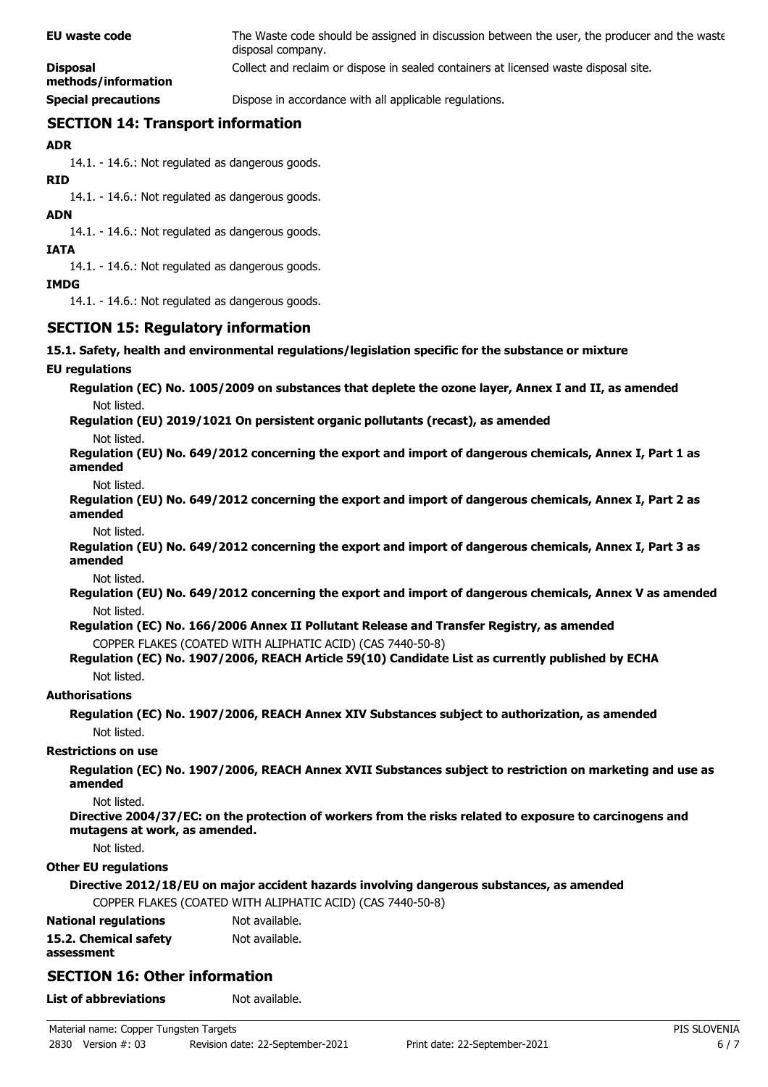| EU waste code                          | The Waste code should be assigned in discussion between the user, the producer and the waste<br>disposal company. |
|----------------------------------------|-------------------------------------------------------------------------------------------------------------------|
| <b>Disposal</b><br>methods/information | Collect and reclaim or dispose in sealed containers at licensed waste disposal site.                              |
| <b>Special precautions</b>             | Dispose in accordance with all applicable regulations.                                                            |

# **SECTION 14: Transport information**

**ADR**

14.1. - 14.6.: Not regulated as dangerous goods.

**RID**

14.1. - 14.6.: Not regulated as dangerous goods.

**ADN**

14.1. - 14.6.: Not regulated as dangerous goods.

**IATA**

14.1. - 14.6.: Not regulated as dangerous goods.

**IMDG**

14.1. - 14.6.: Not regulated as dangerous goods.

# **SECTION 15: Regulatory information**

### **15.1. Safety, health and environmental regulations/legislation specific for the substance or mixture**

### **EU regulations**

**Regulation (EC) No. 1005/2009 on substances that deplete the ozone layer, Annex I and II, as amended** Not listed.

**Regulation (EU) 2019/1021 On persistent organic pollutants (recast), as amended**

Not listed.

**Regulation (EU) No. 649/2012 concerning the export and import of dangerous chemicals, Annex I, Part 1 as amended**

Not listed.

**Regulation (EU) No. 649/2012 concerning the export and import of dangerous chemicals, Annex I, Part 2 as amended**

Not listed.

**Regulation (EU) No. 649/2012 concerning the export and import of dangerous chemicals, Annex I, Part 3 as amended**

Not listed.

**Regulation (EU) No. 649/2012 concerning the export and import of dangerous chemicals, Annex V as amended** Not listed.

**Regulation (EC) No. 166/2006 Annex II Pollutant Release and Transfer Registry, as amended** COPPER FLAKES (COATED WITH ALIPHATIC ACID) (CAS 7440-50-8)

### **Regulation (EC) No. 1907/2006, REACH Article 59(10) Candidate List as currently published by ECHA** Not listed.

### **Authorisations**

**Regulation (EC) No. 1907/2006, REACH Annex XIV Substances subject to authorization, as amended** Not listed.

### **Restrictions on use**

**Regulation (EC) No. 1907/2006, REACH Annex XVII Substances subject to restriction on marketing and use as amended**

Not listed.

**Directive 2004/37/EC: on the protection of workers from the risks related to exposure to carcinogens and mutagens at work, as amended.**

Not listed.

### **Other EU regulations**

**Directive 2012/18/EU on major accident hazards involving dangerous substances, as amended**

COPPER FLAKES (COATED WITH ALIPHATIC ACID) (CAS 7440-50-8)

| <b>National regulations</b> | Not available. |
|-----------------------------|----------------|
| 15.2. Chemical safety       | Not available. |
| assessment                  |                |

# **SECTION 16: Other information**

**List of abbreviations** Not available.